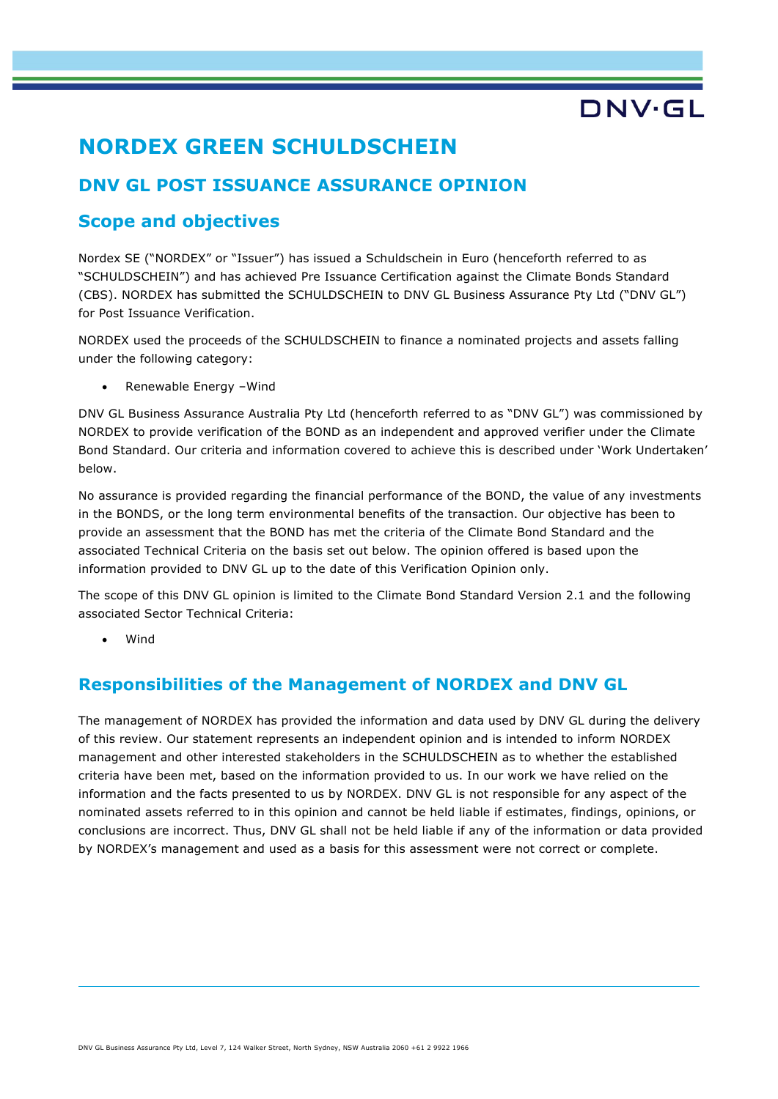# DNV·GL

## **NORDEX GREEN SCHULDSCHEIN**

## **DNV GL POST ISSUANCE ASSURANCE OPINION**

### **Scope and objectives**

Nordex SE ("NORDEX" or "Issuer") has issued a Schuldschein in Euro (henceforth referred to as "SCHULDSCHEIN") and has achieved Pre Issuance Certification against the Climate Bonds Standard (CBS). NORDEX has submitted the SCHULDSCHEIN to DNV GL Business Assurance Pty Ltd ("DNV GL") for Post Issuance Verification.

NORDEX used the proceeds of the SCHULDSCHEIN to finance a nominated projects and assets falling under the following category:

Renewable Energy -Wind

DNV GL Business Assurance Australia Pty Ltd (henceforth referred to as "DNV GL") was commissioned by NORDEX to provide verification of the BOND as an independent and approved verifier under the Climate Bond Standard. Our criteria and information covered to achieve this is described under 'Work Undertaken' below.

No assurance is provided regarding the financial performance of the BOND, the value of any investments in the BONDS, or the long term environmental benefits of the transaction. Our objective has been to provide an assessment that the BOND has met the criteria of the Climate Bond Standard and the associated Technical Criteria on the basis set out below. The opinion offered is based upon the information provided to DNV GL up to the date of this Verification Opinion only.

The scope of this DNV GL opinion is limited to the Climate Bond Standard Version 2.1 and the following associated Sector Technical Criteria:

• Wind

### **Responsibilities of the Management of NORDEX and DNV GL**

The management of NORDEX has provided the information and data used by DNV GL during the delivery of this review. Our statement represents an independent opinion and is intended to inform NORDEX management and other interested stakeholders in the SCHULDSCHEIN as to whether the established criteria have been met, based on the information provided to us. In our work we have relied on the information and the facts presented to us by NORDEX. DNV GL is not responsible for any aspect of the nominated assets referred to in this opinion and cannot be held liable if estimates, findings, opinions, or conclusions are incorrect. Thus, DNV GL shall not be held liable if any of the information or data provided by NORDEX's management and used as a basis for this assessment were not correct or complete.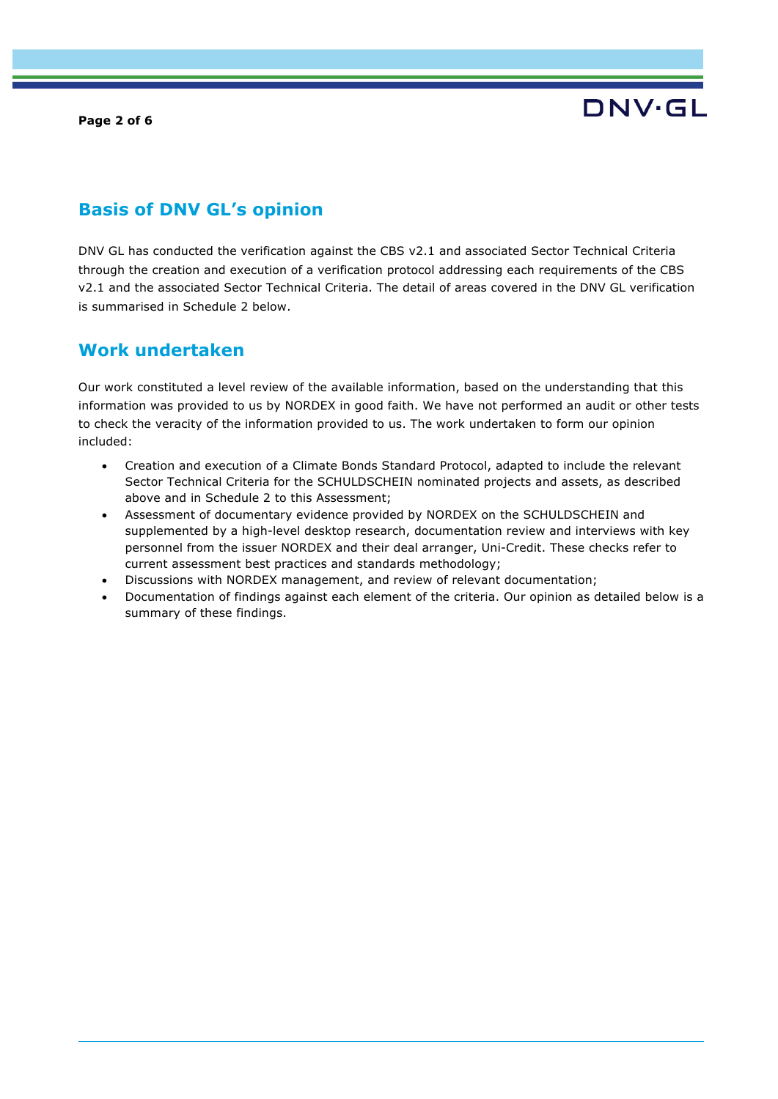#### **Page 2 of 6**



### **Basis of DNV GL's opinion**

DNV GL has conducted the verification against the CBS v2.1 and associated Sector Technical Criteria through the creation and execution of a verification protocol addressing each requirements of the CBS v2.1 and the associated Sector Technical Criteria. The detail of areas covered in the DNV GL verification is summarised in Schedule 2 below.

### **Work undertaken**

Our work constituted a level review of the available information, based on the understanding that this information was provided to us by NORDEX in good faith. We have not performed an audit or other tests to check the veracity of the information provided to us. The work undertaken to form our opinion included:

- Creation and execution of a Climate Bonds Standard Protocol, adapted to include the relevant Sector Technical Criteria for the SCHULDSCHEIN nominated projects and assets, as described above and in Schedule 2 to this Assessment;
- Assessment of documentary evidence provided by NORDEX on the SCHULDSCHEIN and supplemented by a high-level desktop research, documentation review and interviews with key personnel from the issuer NORDEX and their deal arranger, Uni-Credit. These checks refer to current assessment best practices and standards methodology;
- Discussions with NORDEX management, and review of relevant documentation;
- Documentation of findings against each element of the criteria. Our opinion as detailed below is a summary of these findings.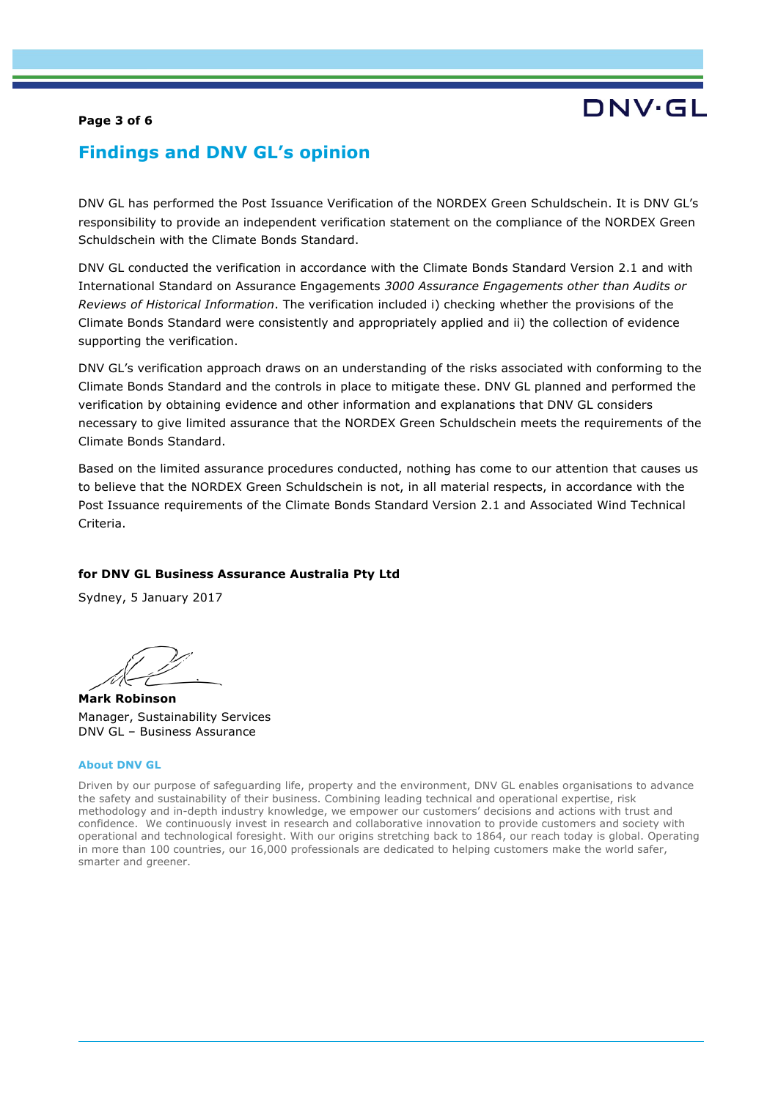#### **Page 3 of 6**

# DNV.GL

### **Findings and DNV GL's opinion**

DNV GL has performed the Post Issuance Verification of the NORDEX Green Schuldschein. It is DNV GL's responsibility to provide an independent verification statement on the compliance of the NORDEX Green Schuldschein with the Climate Bonds Standard.

DNV GL conducted the verification in accordance with the Climate Bonds Standard Version 2.1 and with International Standard on Assurance Engagements *3000 Assurance Engagements other than Audits or Reviews of Historical Information*. The verification included i) checking whether the provisions of the Climate Bonds Standard were consistently and appropriately applied and ii) the collection of evidence supporting the verification.

DNV GL's verification approach draws on an understanding of the risks associated with conforming to the Climate Bonds Standard and the controls in place to mitigate these. DNV GL planned and performed the verification by obtaining evidence and other information and explanations that DNV GL considers necessary to give limited assurance that the NORDEX Green Schuldschein meets the requirements of the Climate Bonds Standard.

Based on the limited assurance procedures conducted, nothing has come to our attention that causes us to believe that the NORDEX Green Schuldschein is not, in all material respects, in accordance with the Post Issuance requirements of the Climate Bonds Standard Version 2.1 and Associated Wind Technical Criteria.

#### **for DNV GL Business Assurance Australia Pty Ltd**

Sydney, 5 January 2017

**Mark Robinson** Manager, Sustainability Services DNV GL – Business Assurance

#### **About DNV GL**

Driven by our purpose of safeguarding life, property and the environment, DNV GL enables organisations to advance the safety and sustainability of their business. Combining leading technical and operational expertise, risk methodology and in-depth industry knowledge, we empower our customers' decisions and actions with trust and confidence. We continuously invest in research and collaborative innovation to provide customers and society with operational and technological foresight. With our origins stretching back to 1864, our reach today is global. Operating in more than 100 countries, our 16,000 professionals are dedicated to helping customers make the world safer, smarter and greener.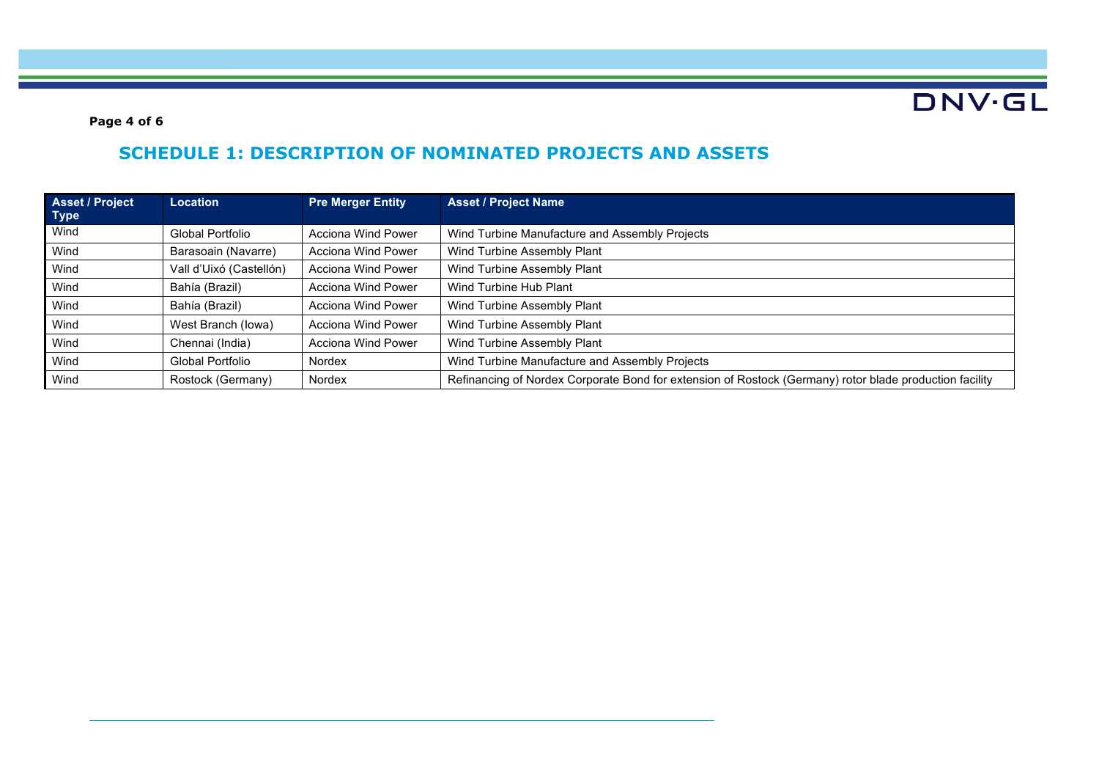DNV.GL

**Page 4 of 6**

## **SCHEDULE 1: DESCRIPTION OF NOMINATED PROJECTS AND ASSETS**

| Asset / Project<br><b>Type</b> | Location                | <b>Pre Merger Entity</b>  | <b>Asset / Project Name</b>                                                                             |
|--------------------------------|-------------------------|---------------------------|---------------------------------------------------------------------------------------------------------|
| Wind                           | Global Portfolio        | Acciona Wind Power        | Wind Turbine Manufacture and Assembly Projects                                                          |
| Wind                           | Barasoain (Navarre)     | Acciona Wind Power        | Wind Turbine Assembly Plant                                                                             |
| Wind                           | Vall d'Uixó (Castellón) | Acciona Wind Power        | Wind Turbine Assembly Plant                                                                             |
| Wind                           | Bahía (Brazil)          | Acciona Wind Power        | Wind Turbine Hub Plant                                                                                  |
| Wind                           | Bahía (Brazil)          | <b>Acciona Wind Power</b> | Wind Turbine Assembly Plant                                                                             |
| Wind                           | West Branch (lowa)      | Acciona Wind Power        | Wind Turbine Assembly Plant                                                                             |
| Wind                           | Chennai (India)         | <b>Acciona Wind Power</b> | Wind Turbine Assembly Plant                                                                             |
| Wind                           | Global Portfolio        | Nordex                    | Wind Turbine Manufacture and Assembly Projects                                                          |
| Wind                           | Rostock (Germany)       | Nordex                    | Refinancing of Nordex Corporate Bond for extension of Rostock (Germany) rotor blade production facility |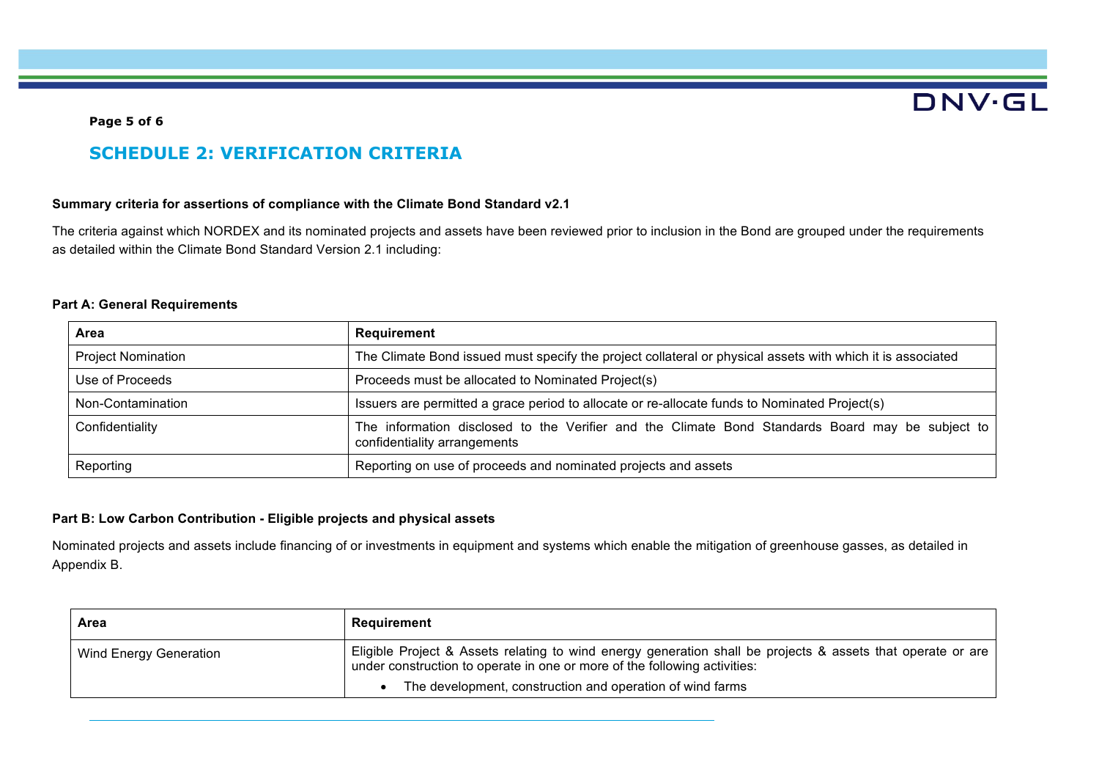# **DNV·GL**

#### **Page 5 of 6**

### **SCHEDULE 2: VERIFICATION CRITERIA**

#### **Summary criteria for assertions of compliance with the Climate Bond Standard v2.1**

The criteria against which NORDEX and its nominated projects and assets have been reviewed prior to inclusion in the Bond are grouped under the requirements as detailed within the Climate Bond Standard Version 2.1 including:

#### **Part A: General Requirements**

| Area                      | Requirement                                                                                                                      |
|---------------------------|----------------------------------------------------------------------------------------------------------------------------------|
| <b>Project Nomination</b> | The Climate Bond issued must specify the project collateral or physical assets with which it is associated                       |
| Use of Proceeds           | Proceeds must be allocated to Nominated Project(s)                                                                               |
| Non-Contamination         | Issuers are permitted a grace period to allocate or re-allocate funds to Nominated Project(s)                                    |
| Confidentiality           | The information disclosed to the Verifier and the Climate Bond Standards Board may be subject to<br>confidentiality arrangements |
| Reporting                 | Reporting on use of proceeds and nominated projects and assets                                                                   |

#### **Part B: Low Carbon Contribution - Eligible projects and physical assets**

Nominated projects and assets include financing of or investments in equipment and systems which enable the mitigation of greenhouse gasses, as detailed in Appendix B.

| Area                   | Requirement                                                                                                                                                                              |
|------------------------|------------------------------------------------------------------------------------------------------------------------------------------------------------------------------------------|
| Wind Energy Generation | Eligible Project & Assets relating to wind energy generation shall be projects & assets that operate or are<br>under construction to operate in one or more of the following activities: |
|                        | The development, construction and operation of wind farms                                                                                                                                |